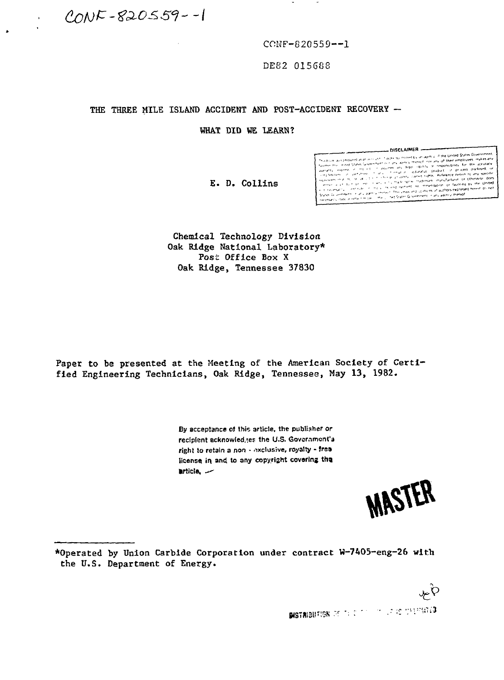$CONF - 820559 - -1$ 

CONF-820559—1

DE82 015688

### THE THREE MILE ISLAND ACCIDENT AND POST-ACCIDENT RECOVERY —

#### **WHAT DID WE** LEARN?

E. D. Collins

- DISCLAIMER -

Chemical Technology Division Oak Ridge National Laboratory\* Post Office Box X Oak Ridge, Tennessee 37830

Paper to be presented at the Meeting of the American Society of Certified Engineering Technicians, Oak Ridge, Tennessee, May 13, 1982.

> By acceptance of this article, the publisher or recipient acknowledges the U.S. Government's right to retain a non - inclusive, royalty - **frss** license, in and to any copyright covering **tha** •rtieie. .—



\*Operated by Union Carbide Corporation under contract W-7405-eng-26 with the U.S. Department of Energy.

> ن<br>پ **DISTRIBUTION** OF THE CONTINUES OF REPORTED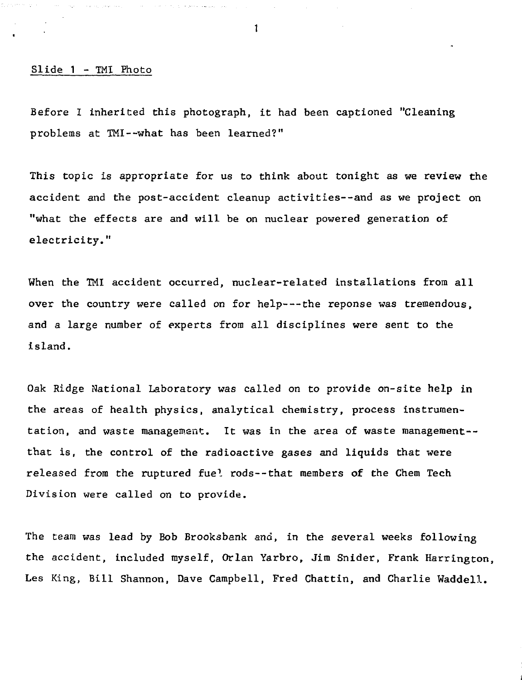### Slide 1 - TMI Photo

Before I inherited this photograph, it had been captioned "Cleaning problems at TMI--what has been learned?"

1.

This topic is appropriate for us to think about tonight as we review the accident and the post-accident cleanup activities--and as we project on "what the effects are and will be on nuclear powered generation of electricity."

When the TMI accident occurred, nuclear-related installations from all over the country were called on for help---the reponse was tremendous, and a large number of experts from all disciplines were sent to the island.

Oak Ridge National Laboratory was called on to provide on-site help in the areas of health physics, analytical chemistry, process instrumentation, and waste management. It was in the area of waste management- that is, the control of the radioactive gases and liquids that were released from the ruptured fuel rods--that members of the Chem Tech Division were called on to provide.

The team was lead by Bob Brooksbank and, in the several weeks following the accident, included myself, Orlan Yarbro, Jim Snider, Frank Harrington, Les King, Bill Shannon, Dave Campbell, Fred Chattin, and Charlie Waddell.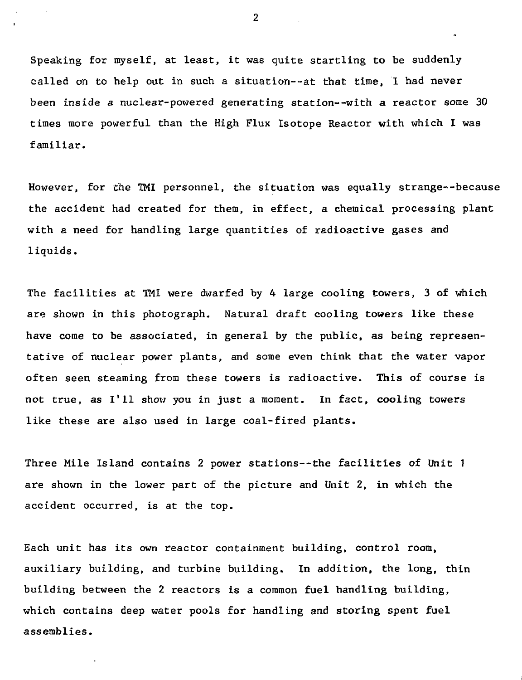Speaking for myself, at least, it was quite startling to be suddenly called on to help out in such a situation—at that time, I had never been inside a nuclear-powered generating station--with a reactor some 30 times more powerful than the High Flux Isotope Reactor with which I was familiar.

However, for the TMI personnel, the situation was equally strange--because the accident had created for them, in effect, a chemical processing plant with a need for handling large quantities of radioactive gases and liquids.

The facilities at TMI were dwarfed by 4 large cooling towers, 3 of which are shown in this photograph. Natural draft cooling towers like these have come to be associated, in general by the public, as being representative of nuclear power plants, and some even think that the water vapor often seen steaming from these towers is radioactive. This of course is not true, as I'll show you in just a moment. In fact, cooling towers like these are also used in large coal-fired plants.

Three Mile Island contains 2 power stations—the facilities of Unit 1 are shown in the lower part of the picture and Unit 2, in which the accident occurred, is at the top.

Each unit has its own reactor containment building, control room, auxiliary building, and turbine building. In addition, the long, thin building between the 2 reactors is a common fuel handling building, which contains deep water pools for handling and storing spent fuel assemblies.

 $\overline{2}$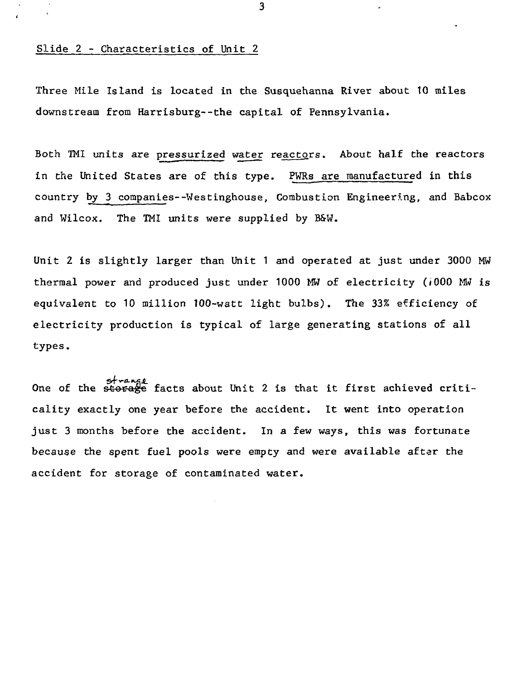# Slide 2 - Characteristics of Unit 2

Three Mile Island is located in the Susquehanna River about 10 miles downstream from Harrisburg--the capital of Pennsylvania.

Both TMI units are pressurized water reactors. About half the reactors in the United States are of this type. PWRs are manufactured in this country by 3 companies--Westinghouse, Combustion Engineering, and Babcox and Wilcox. The TMI units were supplied by B&W.

Unit 2 is slightly larger than Unit 1 and operated at just under 3000 MW thermal power and produced just under 1000 MW of electricity (iOOO MW is equivalent to 10 million 100-watt light bulbs). The 33% efficiency of electricity production is typical of large generating stations of all types.

Strange<br>One of the storage facts about Unit 2 is that it first achieved criticality exactly one year before the accident. It went into operation just 3 months before the accident. In a few ways, this was fortunate because the spent fuel pools were empty and were available after the accident for storage of contaminated water.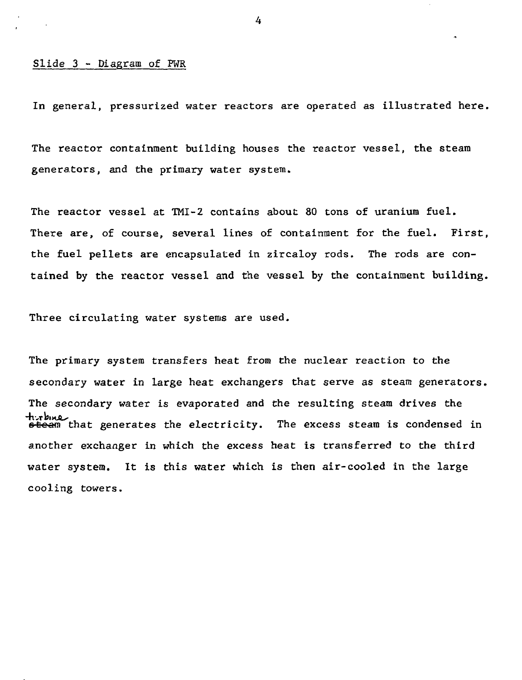### Slide 3 - Diagram of PWR

In general, pressurized water reactors are operated as illustrated here.

The reactor containment building houses the reactor vessel, the steam generators, and the primary water system.

The reactor vessel at TMI-2 contains about 80 tons of uranium fuel. There are, of course, several lines of containment for the fuel. First, the fuel pellets are encapsulated in zircaloy rods. The rods are contained by the reactor vessel and the vessel by the containment building.

Three circulating water systems are used.

The primary system transfers heat from the nuclear reaction to the secondary water in large heat exchangers that serve as steam generators. The secondary water is evaporated and the resulting steam drives the s-fceam that generates the electricity. The excess steam is condensed in another exchanger in which the excess heat is transferred to the third water system. It is this water which is then air-cooled in the large cooling towers.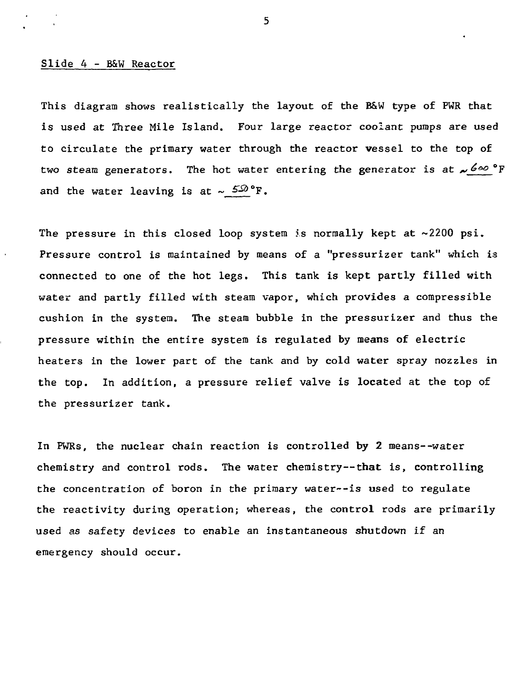### Slide 4 - B&W Reactor

This diagram shows realistically the layout of the B&W type of PWR that is used at Three Mile Island. Four large reactor coolant pumps are used to circulate the primary water through the reactor vessel to the top of two steam generators. The hot water entering the generator is at  $\sim^{600}$  °F and the water leaving is at  $\sim$  5<sup>50</sup>°F.

The pressure in this closed loop system is normally kept at  $\sim$  2200 psi. Pressure control is maintained by means of a "pressurizer tank" which is connected to one of the hot legs. This tank is kept partly filled with water and partly filled with steam vapor, which provides a compressible cushion in the system. The steam bubble in the pressurizer and thus the pressure within the entire system is regulated by means of electric heaters in the lower part of the tank and by cold water spray nozzles in the top. In addition, a pressure relief valve is located at the top of the pressurizer tank.

In PWRs, the nuclear chain reaction is controlled by 2 means--water chemistry and control rods. The water chemistry—that is, controlling the concentration of boron in the primary water--is used to regulate the reactivity during operation; whereas, the control rods are primarily used as safety devices to enable an instantaneous shutdown if an emergency should occur.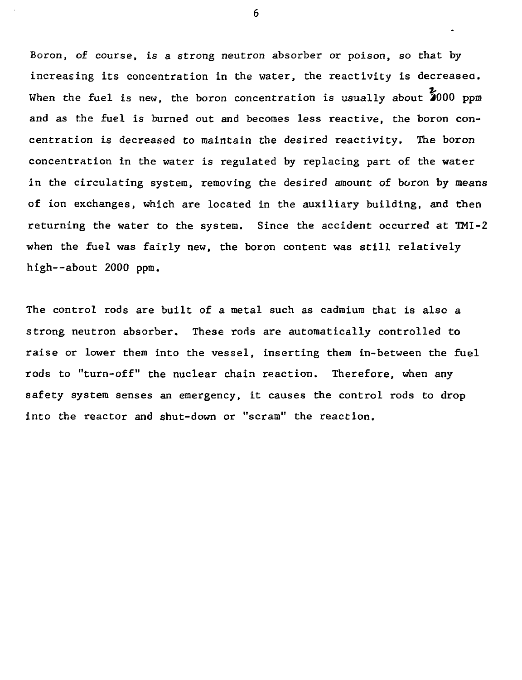Boron, of course, is a strong neutron absorber or poison, so that by increasing its concentration in the water, the reactivity is decreased. When the fuel is new, the boron concentration is usually about  $5000$  pom and as the fuel is burned out and becomes less reactive, the boron concentration is decreased to maintain the desired reactivity. The boron concentration in the water is regulated by replacing part of the water in the circulating system, removing the desired amount of boron by means of ion exchanges, which are located in the auxiliary building, and then returning the water to the system. Since the accident occurred at TMI-2 when the fuel was fairly new, the boron content was still relatively high--about 2000 ppm.

The control rods are built of a metal such as cadmium that is also a strong neutron absorber. These rods are automatically controlled to raise or lower them into the vessel, inserting them in-between the fuel rods to "turn-off" the nuclear chain reaction. Therefore, when any safety system senses an emergency, it causes the control rods to drop into the reactor and shut-down or "scram" the reaction.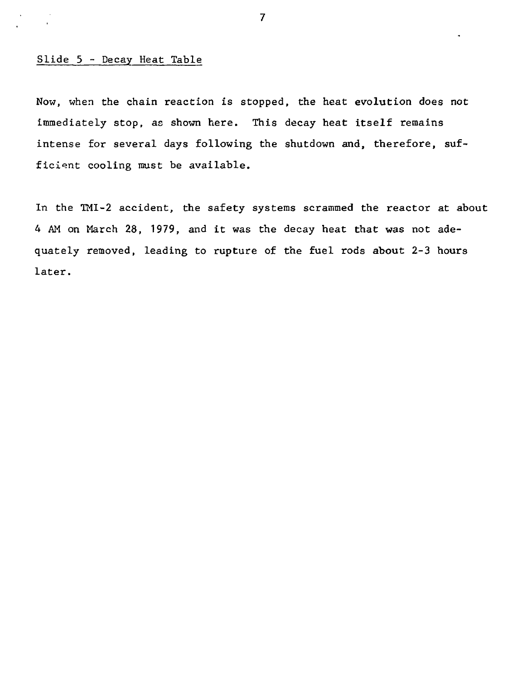### Slide 5 - Decay Heat Table

 $\lambda$ 

Now, when the chain reaction is stopped, the heat evolution does not immediately stop, as shown here. This decay heat itself remains intense for several days following the shutdown and, therefore, sufficient cooling must be available.

In the TMI-2 accident, the safety systems scrammed the reactor at about 4 AM on March 28, 1979, and it was the decay heat that was not adequately removed, leading to rupture of the fuel rods about 2-3 hours later.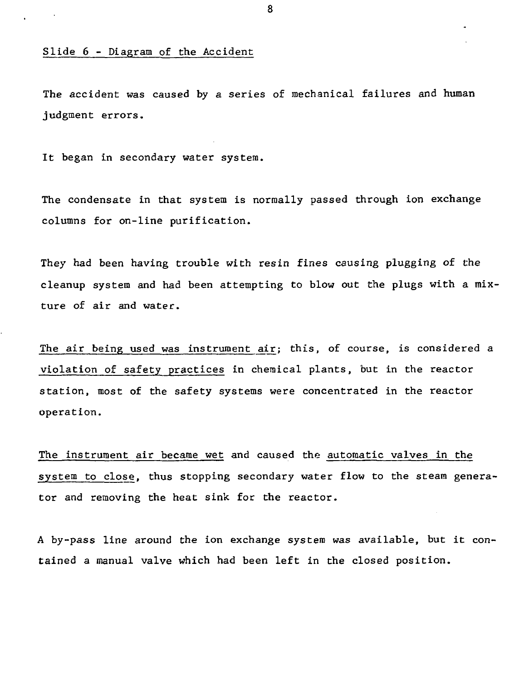# Slide 6 - Diagram of the Accident

The accident was caused by a series of mechanical failures and human judgment errors.

It began in secondary water system.

The condensate in that system is normally passed through ion exchange columns for on-line purification.

They had been having trouble with resin fines causing plugging of the cleanup system and had been attempting to blow out the plugs with a mixture of air and water.

The air being used was instrument air; this, of course, is considered a violation of safety practices in chemical plants, but in the reactor station, most of the safety systems were concentrated in the reactor operation.

The instrument air became wet and caused the automatic valves in the system to close, thus stopping secondary water flow to the steam generator and removing the heat sink for the reactor.

A by-pass line around the ion exchange system was available, but it contained a manual valve which had been left in the closed position.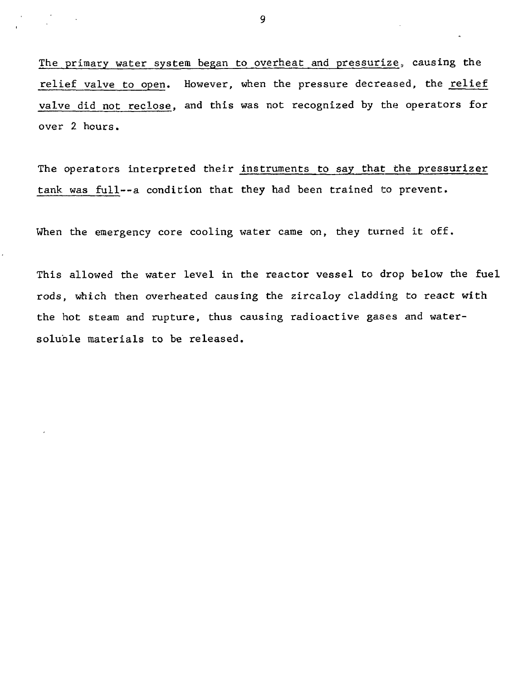The primary water system began to overheat and pressurize, causing the relief valve to open. However, when the pressure decreased, the relief valve did not reclose, and this was not recognized by the operators for over 2 hours.

The operators interpreted their instruments to say that the pressurizer tank was full--a condition that they had been trained to prevent.

When the emergency core cooling water came on, they turned it off.

This allowed the water level in the reactor vessel to drop below the fuel rods, which then overheated causing the zircaloy cladding to react with the hot steam and rupture, thus causing radioactive gases and watersoluble materials to be released.

 $\boldsymbol{q}$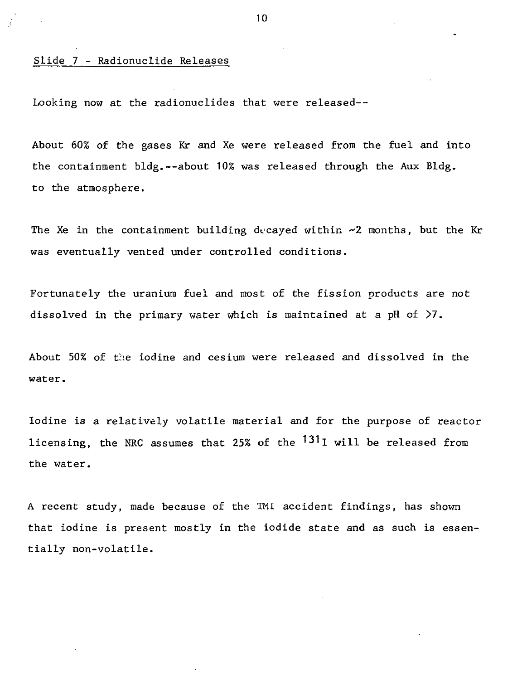### Slide 7 - Radionuclide Releases

Looking now at the radionuclides that were released--

About 60% of the gases Rr and Xe were released from the fuel and into the containment bldg.--about 10% was released through the Aux Bldg. to the atmosphere.

The Xe in the containment building decayed within  $\sim$ 2 months, but the Kr was eventually vented under controlled conditions.

Fortunately the uranium fuel and most of the fission products are not dissolved in the primary water which is maintained at a pH of  $>7$ .

About 50% of the iodine and cesium were released and dissolved in the water.

Iodine is a relatively volatile material and for the purpose of reactor licensing, the NRC assumes that 25% of the  $^{131}$ I will be released from the water.

A recent study, made because of the TMI accident findings, has shown that iodine is present mostly in the iodide state and as such is essentially non-volatile.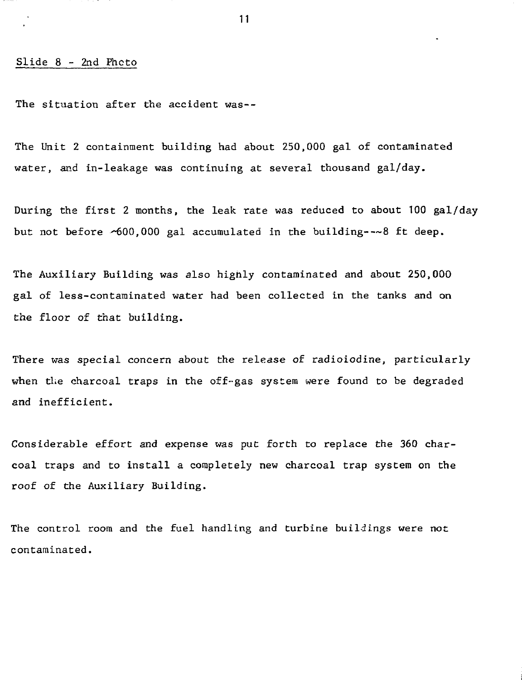### Slide 8 - 2nd Photo

The situation after the accident was--

The Unit 2 containment building had about 250,000 gal of contaminated water, and in-leakage was continuing at several thousand gal/day.

During the first 2 months, the leak rate was reduced to about 100 gal/day but not before ~600,000 gal accumulated in the building --~ 8 ft deep.

The Auxiliary Building was also highly contaminated and about 250,000 gal of less-contaminated water had been collected in the tanks and on the floor of that building.

There was special concern about the release of radioiodine, particularly when the charcoal traps in the off-gas system were found to be degraded and inefficient.

Considerable effort and expense was put forth to replace the 360 charcoal traps and to install a completely new charcoal trap system on the roof of the Auxiliary Building.

The control room and the fuel handling and turbine buildings were not contaminated.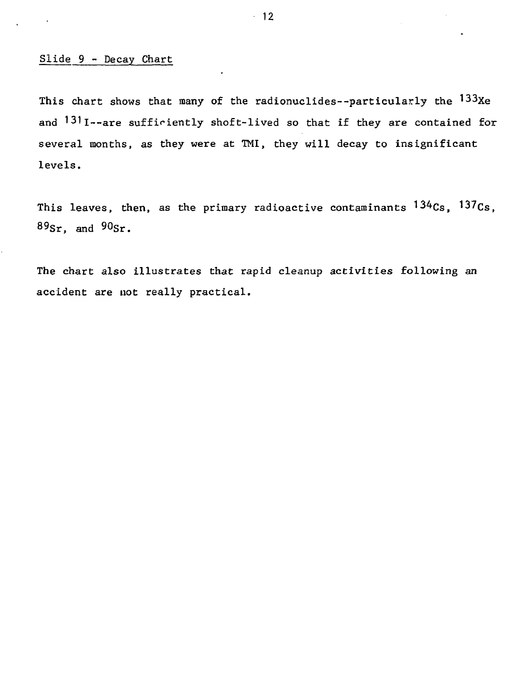# Slide 9 - Decay Chart

This chart shows that many of the radionuclides--particularly the  $^{133}$ Xe and <sup>131</sup>I--are sufficiently shoft-lived so that if they are contained for several months, as they were at TMI, they will decay to insignificant levels.

This leaves, then, as the primary radioactive contaminants  $134c<sub>S</sub>$ ,  $137c<sub>S</sub>$ ,  $89_{\text{Sr}}$ , and  $90_{\text{Sr}}$ .

The chart also illustrates that rapid cleanup activities following an accident are not really practical.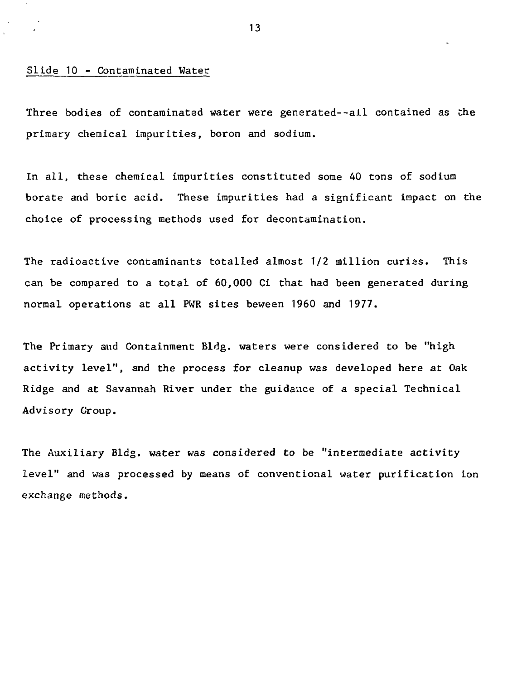# Slide 10 - Contaminated Water

Three bodies of contaminated water were generated--all contained as the primary chemical impurities, boron and sodium.

In all, these chemical impurities constituted some 40 tons of sodium borate and boric acid. These impurities had a significant impact on the choice of processing methods used for decontamination.

The radioactive contaminants totalled almost 1/2 million curias. This can be compared to a total of 60,000 Ci that had been generated during normal operations at all PWR sites beween 1960 and 1977.

The Primary and Containment Bldg. waters were considered to be "high activity level", and the process for cleanup was developed here at Oak Ridge and at Savannah River under the guidance of a special Technical Advisory Group.

The Auxiliary Bldg. water was considered to be "intermediate activity level" and was processed by means of conventional water purification ion exchange methods.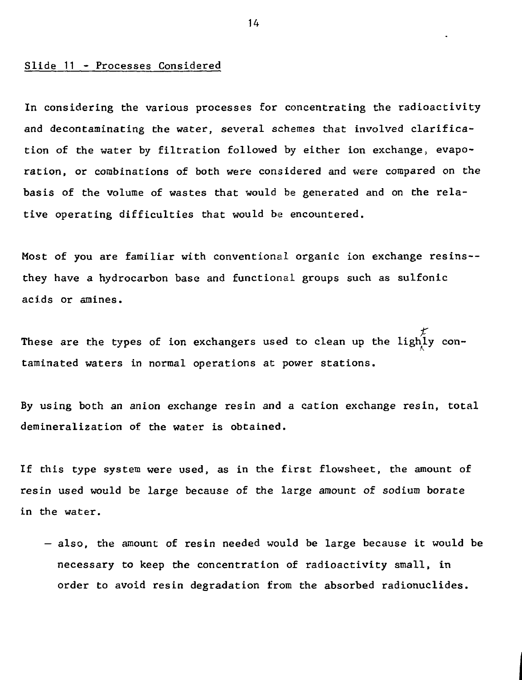### Slide 11 - Processes Considered

In considering the various processes for concentrating the radioactivity and decontaminating the water, several schemes that involved clarification of the water by filtration followed by either ion exchange, evaporation, or combinations of both were considered and were compared on the basis of the volume of wastes that would be generated and on the relative operating difficulties that would be encountered.

Most of you are familiar with conventional organic ion exchange resins- they have a hydrocarbon base and functional groups such as sulfonic acids or amines.

These are the types of ion exchangers used to clean up the lighly contaminated waters in normal operations at power stations.

By using both an anion exchange resin and a cation exchange resin, total demineralization of the water is obtained.

If this type system were used, as in the first flowsheet, the amount of resin used would be large because of the large amount of sodium borate in the water.

— also, the amount of resin needed would be large because it would be necessary to keep the concentration of radioactivity small, in order to avoid resin degradation from the absorbed radionuclides.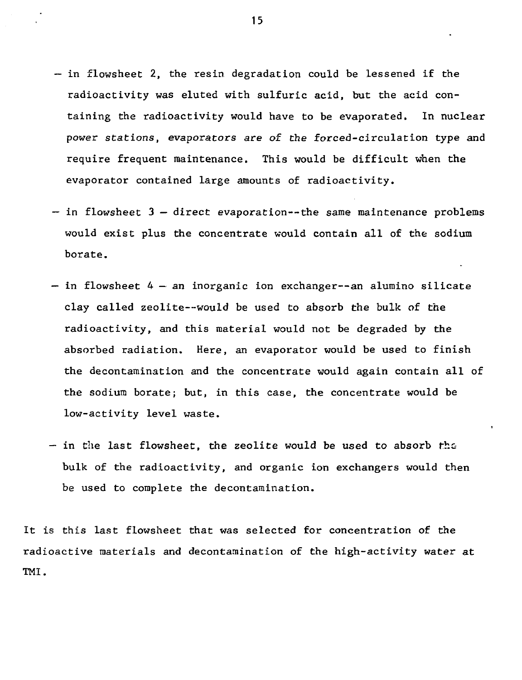- in flowsheet 2, the resin degradation could be lessened if the radioactivity was eluted with sulfuric acid, but the acid containing the radioactivity would have to be evaporated. In nuclear power stations, evaporators are of the forced-circulation type and require frequent maintenance. This would be difficult when the evaporator contained large amounts of radioactivity.
- $-$  in flowsheet  $3 -$  direct evaporation--the same maintenance problems would exist plus the concentrate would contain all of the sodium borate.
- in flowsheet 4 an inorganic ion exchanger—an alumino silicate clay called zeolite—would be used to absorb the bulk of the radioactivity, and this material would not be degraded by the absorbed radiation. Here, an evaporator would be used to finish the decontamination and the concentrate would again contain all of the sodium borate; but, in this case, the concentrate would be low-activity level waste.
- $-$  in the last flowsheet, the zeolite would be used to absorb the bulk of the radioactivity, and organic ion exchangers would then be used to complete the decontamination.

It is this last flowsheet that was selected for concentration of the radioactive materials and decontamination of the high-activity water at TMI.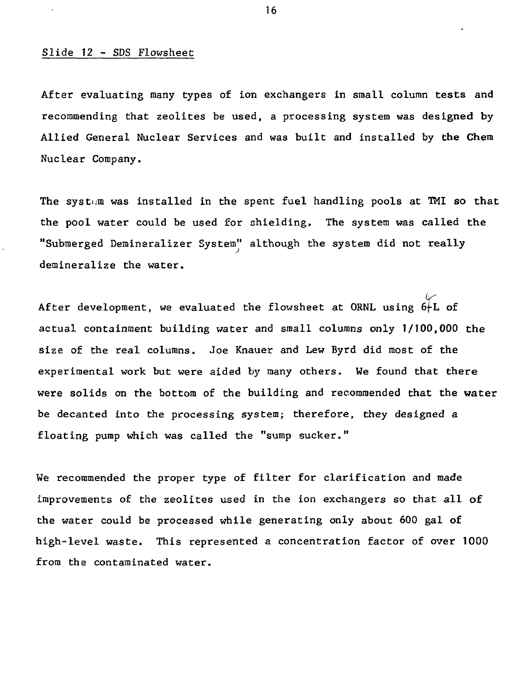# Slide 12 - SDS Flowsheet

After evaluating many types of ion exchangers in small column tests and recommending that zeolites be used, a processing system was designed by Allied General Nuclear Services and was built and installed by the Chem Nuclear Company.

The system was installed in the spent fuel handling pools at TMI so that the pool water could be used for shielding. The system was called the "Submerged Demineralizer System" although the system did not really demineralize the water.

After development, we evaluated the flowsheet at ORNL using  $6 + L$  of actual containment building water and small columns only 1/100,000 the size of the real columns. Joe Knauer and Lew Byrd did most of the experimental work but were aided by many others. We found that there were solids on the bottom of the building and recommended that the water be decanted into the processing system; therefore, they designed a floating pump which was called the "sump sucker."

We recommended the proper type of filter for clarification and made improvements of the zeolites used in the ion exchangers so that all of the water could be processed while generating only about 600 gal of high-level waste. This represented a concentration factor of over 1000 from the contaminated water.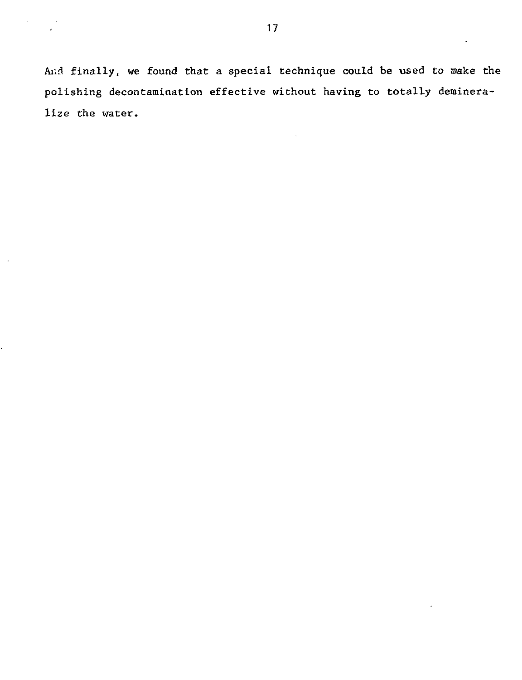And finally, we found that a special technique could be used to make the polishing decontamination effective without having to totally demineralize the water.

 $\ddot{\phantom{a}}$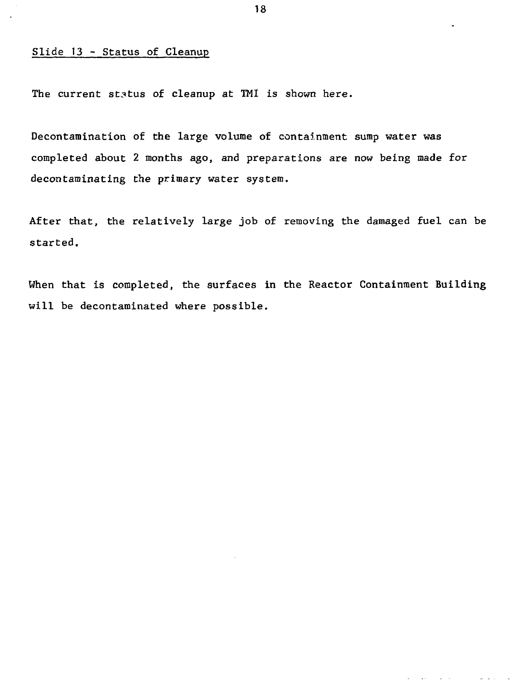# Slide 13 - Status of Cleanup

The current status of cleanup at TMI is shown here.

Decontamination of the large volume of containment sump water was completed about 2 months ago, and preparations are now being made for decontaminating the primary water system.

After that, the relatively large job of removing the damaged fuel can be started.

When that is completed, the surfaces in the Reactor Containment Building will be decontaminated where possible.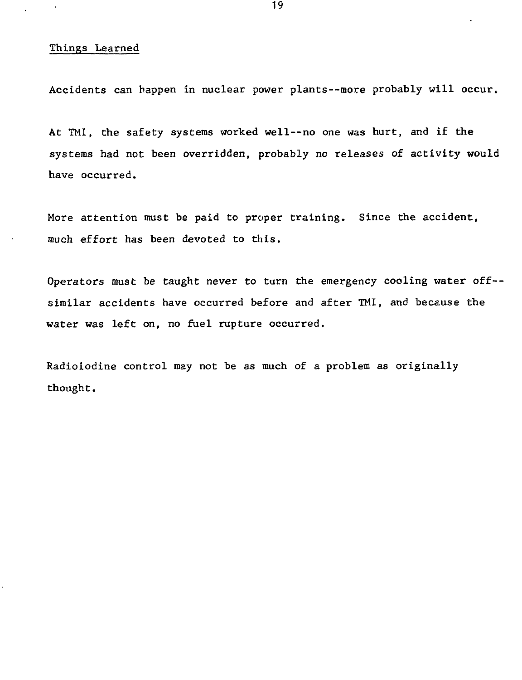# Things Learned

Accidents can happen in nuclear power plants--more probably will occur.

At TM1, the safety systems worked well—no one was hurt, and if the systems had not been overridden, probably no releases of activity would have occurred.

More attention must be paid to proper training. Since the accident, much effort has been devoted to this.

Operators must be taught never to turn the emergency cooling water off- similar accidents have occurred before and after TMI, and because the water was left on, no fuel rupture occurred.

Radioiodine control may not be as much of a problem as originally thought.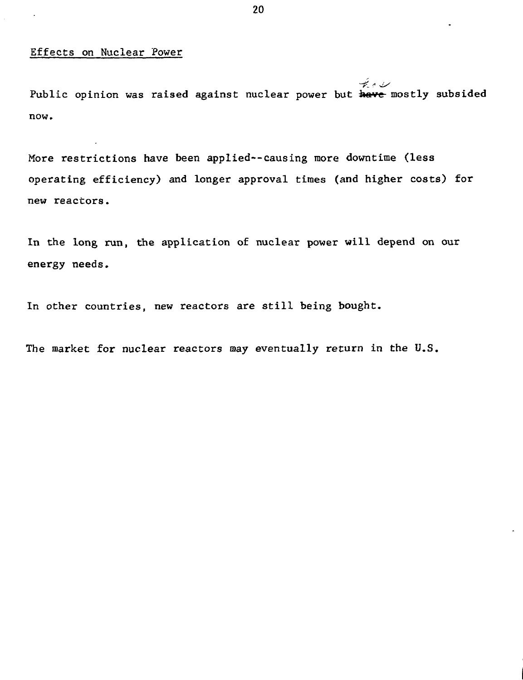# Effects on Nuclear Power

 $\mathcal{L}$ 

مرں او ٹیپ Public opinion was raised against nuclear power but have mostly subsided now.

More restrictions have been applied--causing more downtime (less operating efficiency) and longer approval times (and higher costs) for new reactors.

In the long run, the application of nuclear power will depend on our energy needs.

In other countries, new reactors are still being bought.

The market for nuclear reactors may eventually return in the U.S.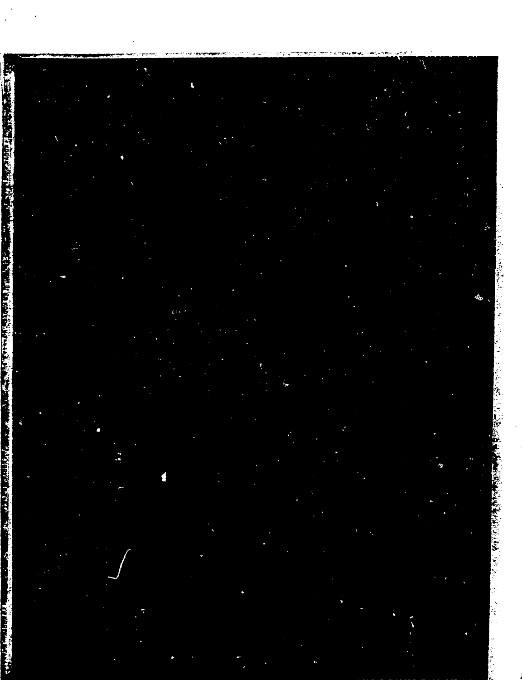

į.

Ą,

今日からは遊離し

i<br>P

「何度に落ちても最後の戦争」

ţ

é.

**The Seconds** 

**CARRAT**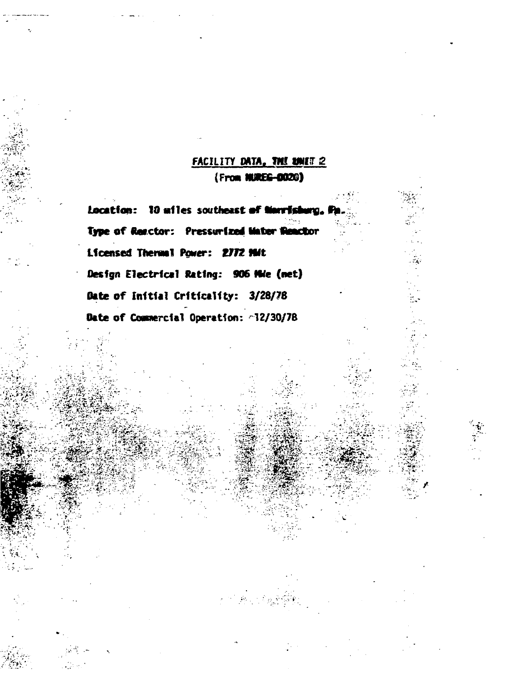# FACILITY DATA, THE UNET 2 (From NUREG-0020)

Location: 10 miles southeast of therrish Type of Renctor: Pressurized Water Reactor Licensed Thermal Power: 2772 MMt Design Electrical Rating: 906 MWe (net) Date of Initial Criticality: 3/28/78 Date of Commercial Operation: ~12/30/78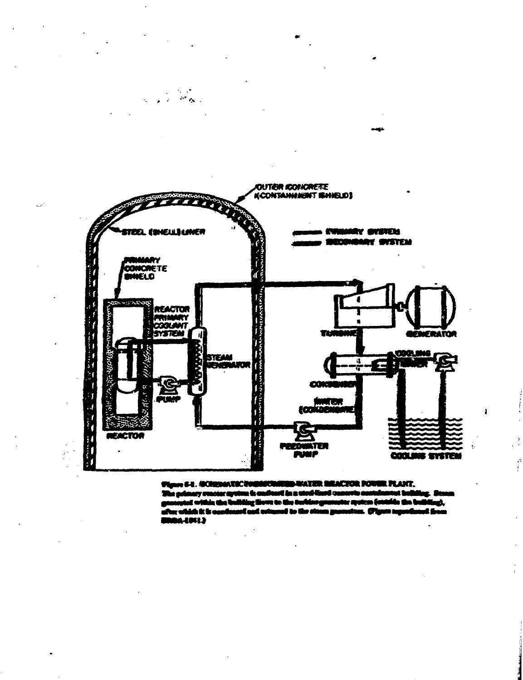

 $\sim \infty$  $\ddot{\cdot}$ 

*YER BEACHOR ROW* R FLANT. m uracan ۸× Ning Slowe to 1 ta fa in the Su r ma ن هغ دا iakte ۰ø m **M-1841.)** 

 $\mathbf{I}$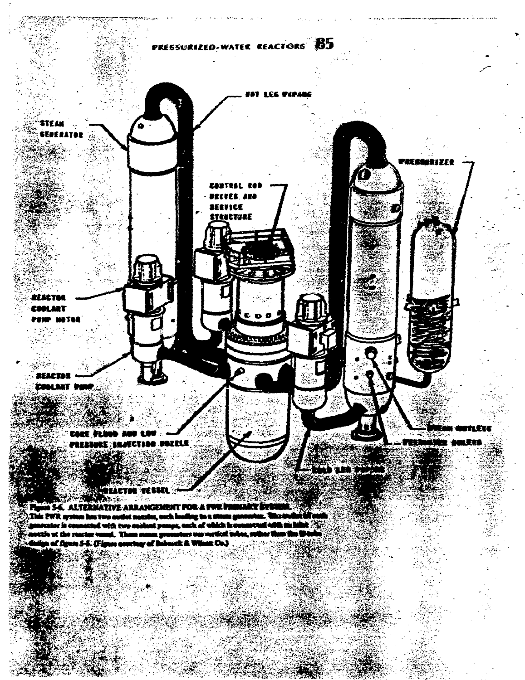

Ŵ.

Ŀ.

N.

 $\gamma^*_{\vec{U}}$ 

**ALTERNATIVE ARRANGEMENT FO** 

i with t fest à i. Then a **ECON** m S S. (Fi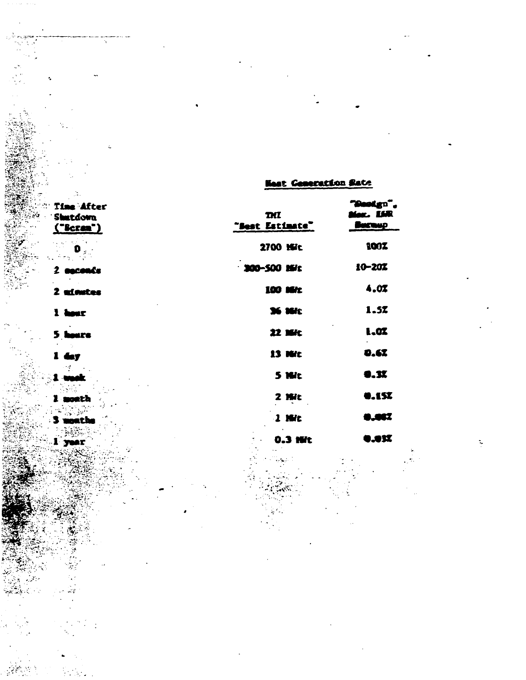| Time After<br><b>Shatdown</b><br>("Bcran") | m<br>"Seat Estimate" | asilgn<br>Mer. ISR<br>iacwap |  |
|--------------------------------------------|----------------------|------------------------------|--|
|                                            | 2700 HWL             | 100Z                         |  |
| 2 mesets                                   | <b>300-500 M/c</b>   | 10-202                       |  |
| 2 minutes                                  | 100 M/z              | 4.07                         |  |
| 1 hour                                     | <b>36 MHz</b>        | 1.5%                         |  |
| 5 hours                                    | 22 MHz               | 1.01                         |  |
| $1 - 4xy$                                  | 13 NVc               | O.6Z                         |  |
|                                            | <b>5 MHz</b>         | <b>0.3%</b>                  |  |
|                                            | 2 MHz                | <b>0.15Z</b>                 |  |
|                                            | $2$ Mic              | 8,867                        |  |
|                                            | 0.3 HVt              | 110.0                        |  |
|                                            |                      |                              |  |

eration flate

r Cae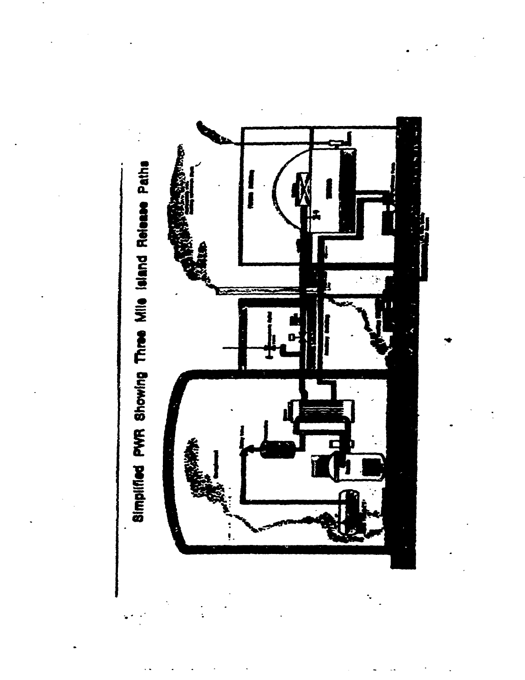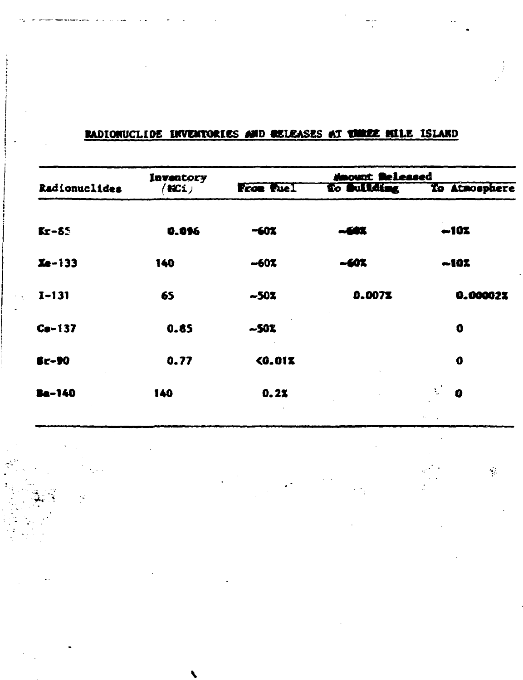# RADIONUCLIDE INVENTORIES AND RELEASES AT THREE MILE ISLAND

| Radionuclides | Inventory | Mnount Selessed  |             |                                 |  |
|---------------|-----------|------------------|-------------|---------------------------------|--|
|               | KCi)      | From Fuel        | To Building | To Atmosphere                   |  |
| $Kr - 85$     | 0.096     | $-60%$           | $-601$      | $-102$                          |  |
| Xe-133        | 140       | $-60x$           | $-60%$      | $-102$                          |  |
| $I - 131$     | 65        | $-50x$           | 0.007%      | 0.00002%                        |  |
| $C_{6} - 137$ | 0.85      | $-50X$           |             | $\mathbf 0$                     |  |
| <b>Sc-90</b>  | 0.77      | <b>&lt;0.01%</b> |             | $\mathbf 0$                     |  |
| <b>Ba-140</b> | 140       | 0.21             |             | $\lambda_{\rm{m}}$<br>$\bullet$ |  |
|               |           |                  |             |                                 |  |

 $\epsilon_{\rm s}$ 

 $\frac{1}{2}$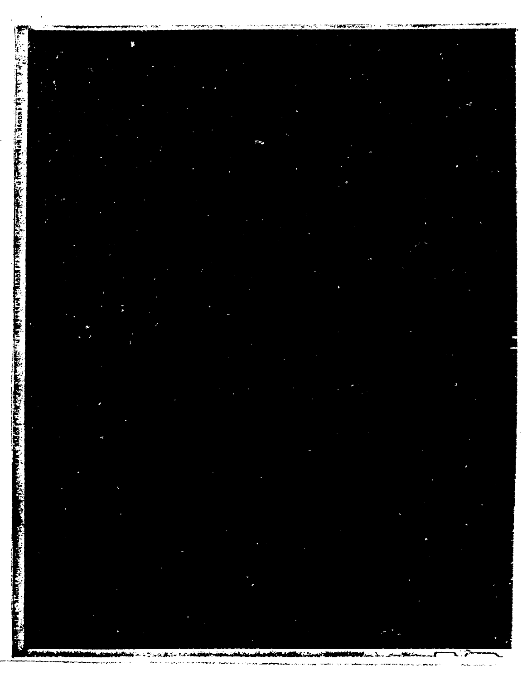

**The Report Advisor**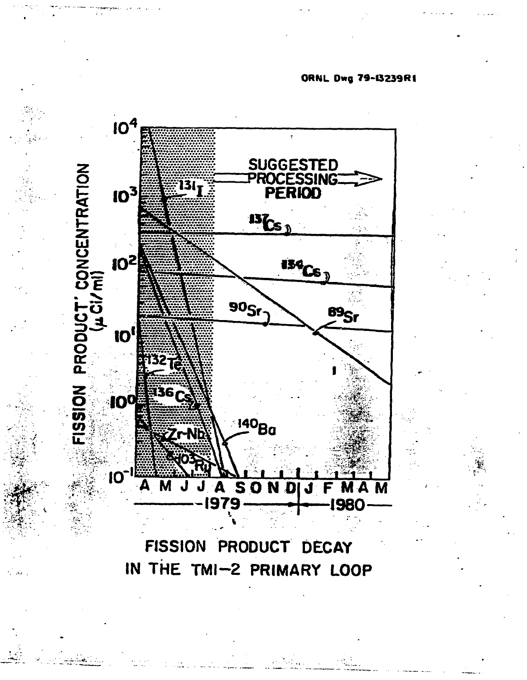**ORNL Dwg 79-13239HI**

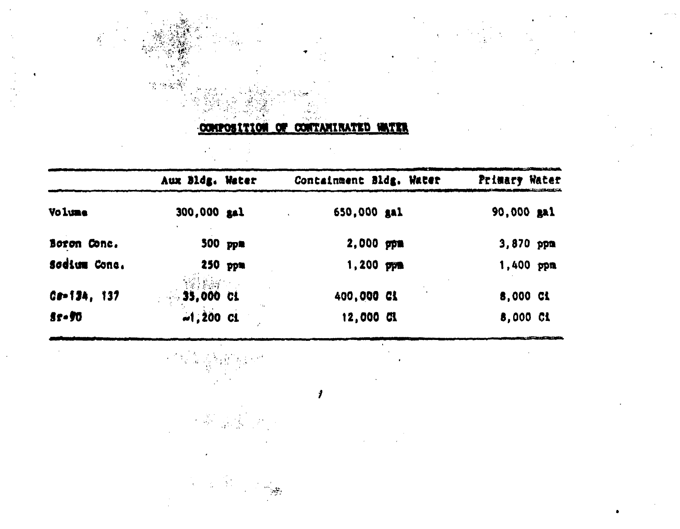

 $\label{eq:2.1} \frac{1}{\sqrt{2}}\int_{0}^{2\pi} \frac{d\mu}{d\mu} \frac{d\mu}{d\mu} \sum_{\substack{d=1 \\ d\mu}} \frac{1}{\sqrt{2}} \sum_{\substack{d=1 \\ d\mu}} \frac{1}{\sqrt{2}} \sum_{\substack{d=1 \\ d\mu}} \frac{1}{\sqrt{2}} \sum_{\substack{d=1 \\ d\mu}} \frac{1}{\sqrt{2}} \sum_{\substack{d=1 \\ d\mu}} \frac{1}{\sqrt{2}} \sum_{\substack{d=1 \\ d\mu}} \frac{1}{\sqrt{2}} \sum_{\substack{d=1 \\ d\mu}} \frac{1$ 

 $\label{eq:2} \frac{1}{2} \frac{d^2\phi}{d\phi^2} = \frac{1}{4\pi^2} \frac{d^2\phi}{d\phi^2}$ 

 $\frac{1}{2}$ 

 $\vec{X}$ 

|                | Aux Bldg. Water |                     | Containment Bldg. Water | Primary Water |  |
|----------------|-----------------|---------------------|-------------------------|---------------|--|
| Volume         | 300,000 gal     |                     | 650,000 gal             | 90,000 gal    |  |
| Boron Conc.    |                 | 500 ppm             | 2,000 ppm               | 3,870 ppm     |  |
| sodium Conc.   |                 | 250 ppm             | 1,200 ppm               | 1,400 ppm     |  |
| $C$ #-134, 137 | $-35,000$ C1    |                     | 400,000 CL              | 8,000 Ci      |  |
| Sr-90          | $-1,200$ Ci     | $\rightarrow$ $\pm$ | 12,000 以                | 8,000 Ci      |  |

 $\mathbf{I}$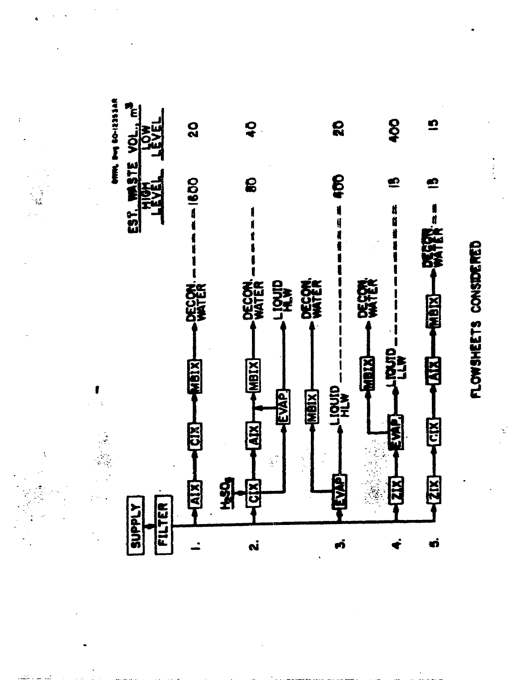

FLOWSHEETS CONSIDERED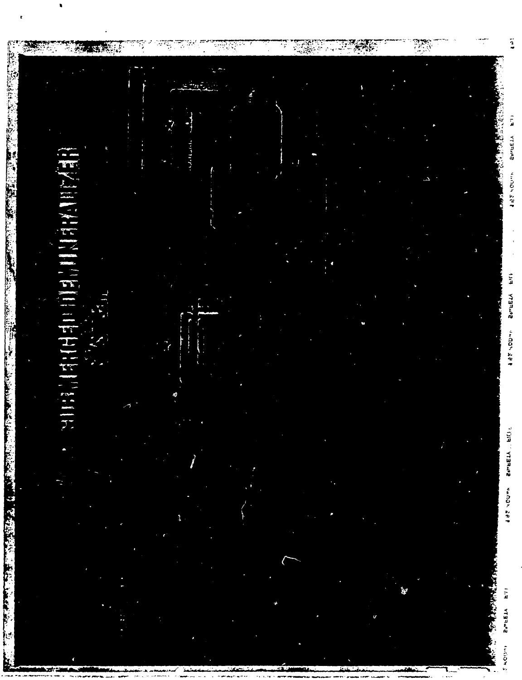